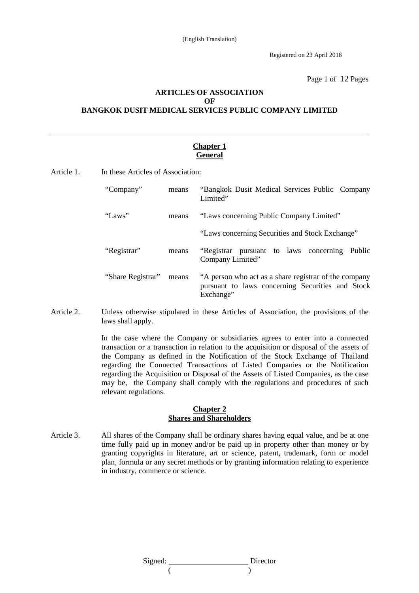Registered on 23 April 2018

Page 1 of 12 Pages

# **ARTICLES OF ASSOCIATION OF BANGKOK DUSIT MEDICAL SERVICES PUBLIC COMPANY LIMITED**

### **Chapter 1 General**

Article 1. In these Articles of Association:

| "Company"         | means | "Bangkok Dusit Medical Services Public Company<br>Limited"                                                             |
|-------------------|-------|------------------------------------------------------------------------------------------------------------------------|
| "Laws"            | means | "Laws concerning Public Company Limited"                                                                               |
|                   |       | "Laws concerning Securities and Stock Exchange"                                                                        |
| "Registrar"       | means | "Registrar pursuant to laws concerning<br>Public<br>Company Limited"                                                   |
| "Share Registrar" | means | "A person who act as a share registrar of the company<br>pursuant to laws concerning Securities and Stock<br>Exchange" |

Article 2. Unless otherwise stipulated in these Articles of Association, the provisions of the laws shall apply.

> In the case where the Company or subsidiaries agrees to enter into a connected transaction or a transaction in relation to the acquisition or disposal of the assets of the Company as defined in the Notification of the Stock Exchange of Thailand regarding the Connected Transactions of Listed Companies or the Notification regarding the Acquisition or Disposal of the Assets of Listed Companies, as the case may be, the Company shall comply with the regulations and procedures of such relevant regulations.

#### **Chapter 2 Shares and Shareholders**

Article 3. All shares of the Company shall be ordinary shares having equal value, and be at one time fully paid up in money and/or be paid up in property other than money or by granting copyrights in literature, art or science, patent, trademark, form or model plan, formula or any secret methods or by granting information relating to experience in industry, commerce or science.

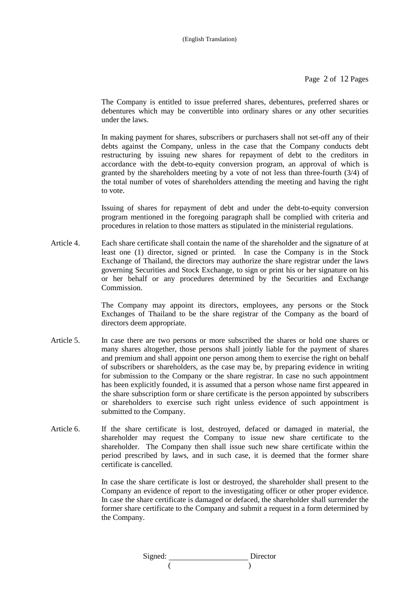Page 2 of 12 Pages

 The Company is entitled to issue preferred shares, debentures, preferred shares or debentures which may be convertible into ordinary shares or any other securities under the laws.

 In making payment for shares, subscribers or purchasers shall not set-off any of their debts against the Company, unless in the case that the Company conducts debt restructuring by issuing new shares for repayment of debt to the creditors in accordance with the debt-to-equity conversion program, an approval of which is granted by the shareholders meeting by a vote of not less than three-fourth (3/4) of the total number of votes of shareholders attending the meeting and having the right to vote.

 Issuing of shares for repayment of debt and under the debt-to-equity conversion program mentioned in the foregoing paragraph shall be complied with criteria and procedures in relation to those matters as stipulated in the ministerial regulations.

Article 4. Each share certificate shall contain the name of the shareholder and the signature of at least one (1) director, signed or printed. In case the Company is in the Stock Exchange of Thailand, the directors may authorize the share registrar under the laws governing Securities and Stock Exchange, to sign or print his or her signature on his or her behalf or any procedures determined by the Securities and Exchange Commission.

> The Company may appoint its directors, employees, any persons or the Stock Exchanges of Thailand to be the share registrar of the Company as the board of directors deem appropriate.

- Article 5. In case there are two persons or more subscribed the shares or hold one shares or many shares altogether, those persons shall jointly liable for the payment of shares and premium and shall appoint one person among them to exercise the right on behalf of subscribers or shareholders, as the case may be, by preparing evidence in writing for submission to the Company or the share registrar. In case no such appointment has been explicitly founded, it is assumed that a person whose name first appeared in the share subscription form or share certificate is the person appointed by subscribers or shareholders to exercise such right unless evidence of such appointment is submitted to the Company.
- Article 6. If the share certificate is lost, destroyed, defaced or damaged in material, the shareholder may request the Company to issue new share certificate to the shareholder. The Company then shall issue such new share certificate within the period prescribed by laws, and in such case, it is deemed that the former share certificate is cancelled.

 In case the share certificate is lost or destroyed, the shareholder shall present to the Company an evidence of report to the investigating officer or other proper evidence. In case the share certificate is damaged or defaced, the shareholder shall surrender the former share certificate to the Company and submit a request in a form determined by the Company.

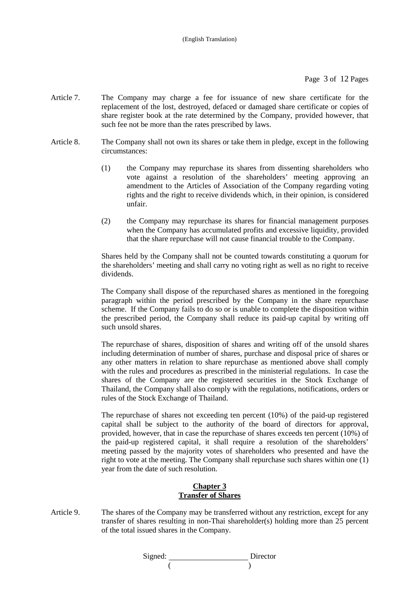- Article 7. The Company may charge a fee for issuance of new share certificate for the replacement of the lost, destroyed, defaced or damaged share certificate or copies of share register book at the rate determined by the Company, provided however, that such fee not be more than the rates prescribed by laws.
- Article 8. The Company shall not own its shares or take them in pledge, except in the following circumstances:
	- (1) the Company may repurchase its shares from dissenting shareholders who vote against a resolution of the shareholders' meeting approving an amendment to the Articles of Association of the Company regarding voting rights and the right to receive dividends which, in their opinion, is considered unfair.
	- (2) the Company may repurchase its shares for financial management purposes when the Company has accumulated profits and excessive liquidity, provided that the share repurchase will not cause financial trouble to the Company.

Shares held by the Company shall not be counted towards constituting a quorum for the shareholders' meeting and shall carry no voting right as well as no right to receive dividends.

The Company shall dispose of the repurchased shares as mentioned in the foregoing paragraph within the period prescribed by the Company in the share repurchase scheme. If the Company fails to do so or is unable to complete the disposition within the prescribed period, the Company shall reduce its paid-up capital by writing off such unsold shares.

The repurchase of shares, disposition of shares and writing off of the unsold shares including determination of number of shares, purchase and disposal price of shares or any other matters in relation to share repurchase as mentioned above shall comply with the rules and procedures as prescribed in the ministerial regulations. In case the shares of the Company are the registered securities in the Stock Exchange of Thailand, the Company shall also comply with the regulations, notifications, orders or rules of the Stock Exchange of Thailand.

 The repurchase of shares not exceeding ten percent (10%) of the paid-up registered capital shall be subject to the authority of the board of directors for approval, provided, however, that in case the repurchase of shares exceeds ten percent (10%) of the paid-up registered capital, it shall require a resolution of the shareholders' meeting passed by the majority votes of shareholders who presented and have the right to vote at the meeting. The Company shall repurchase such shares within one (1) year from the date of such resolution.

### **Chapter 3 Transfer of Shares**

Article 9. The shares of the Company may be transferred without any restriction, except for any transfer of shares resulting in non-Thai shareholder(s) holding more than 25 percent of the total issued shares in the Company.

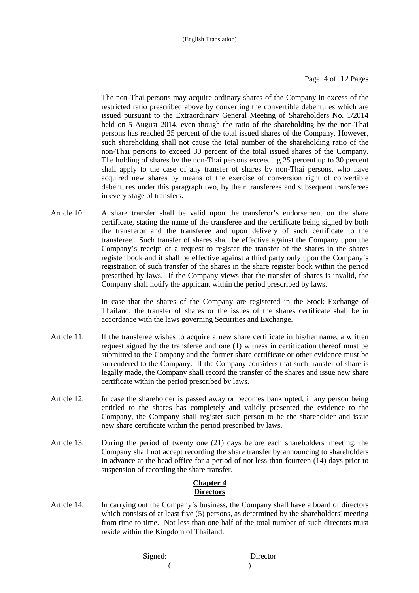Page 4 of 12 Pages

The non-Thai persons may acquire ordinary shares of the Company in excess of the restricted ratio prescribed above by converting the convertible debentures which are issued pursuant to the Extraordinary General Meeting of Shareholders No. 1/2014 held on 5 August 2014, even though the ratio of the shareholding by the non-Thai persons has reached 25 percent of the total issued shares of the Company. However, such shareholding shall not cause the total number of the shareholding ratio of the non-Thai persons to exceed 30 percent of the total issued shares of the Company. The holding of shares by the non-Thai persons exceeding 25 percent up to 30 percent shall apply to the case of any transfer of shares by non-Thai persons, who have acquired new shares by means of the exercise of conversion right of convertible debentures under this paragraph two, by their transferees and subsequent transferees in every stage of transfers.

Article 10. A share transfer shall be valid upon the transferor's endorsement on the share certificate, stating the name of the transferee and the certificate being signed by both the transferor and the transferee and upon delivery of such certificate to the transferee. Such transfer of shares shall be effective against the Company upon the Company's receipt of a request to register the transfer of the shares in the shares register book and it shall be effective against a third party only upon the Company's registration of such transfer of the shares in the share register book within the period prescribed by laws. If the Company views that the transfer of shares is invalid, the Company shall notify the applicant within the period prescribed by laws.

> In case that the shares of the Company are registered in the Stock Exchange of Thailand, the transfer of shares or the issues of the shares certificate shall be in accordance with the laws governing Securities and Exchange.

- Article 11. If the transferee wishes to acquire a new share certificate in his/her name, a written request signed by the transferee and one (1) witness in certification thereof must be submitted to the Company and the former share certificate or other evidence must be surrendered to the Company. If the Company considers that such transfer of share is legally made, the Company shall record the transfer of the shares and issue new share certificate within the period prescribed by laws.
- Article 12. In case the shareholder is passed away or becomes bankrupted, if any person being entitled to the shares has completely and validly presented the evidence to the Company, the Company shall register such person to be the shareholder and issue new share certificate within the period prescribed by laws.
- Article 13. During the period of twenty one (21) days before each shareholders' meeting, the Company shall not accept recording the share transfer by announcing to shareholders in advance at the head office for a period of not less than fourteen (14) days prior to suspension of recording the share transfer.

# **Chapter 4 Directors**

Article 14. In carrying out the Company's business, the Company shall have a board of directors which consists of at least five (5) persons, as determined by the shareholders' meeting from time to time. Not less than one half of the total number of such directors must reside within the Kingdom of Thailand.

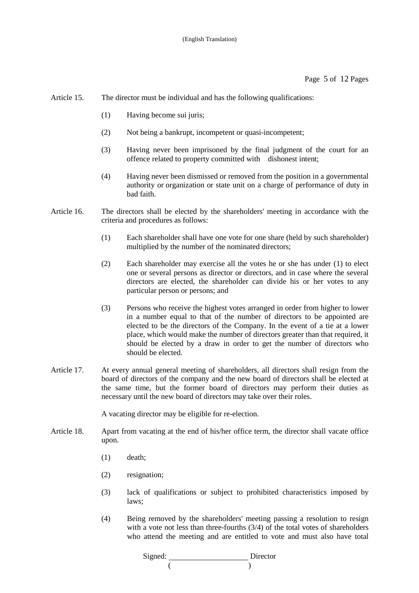- Article 15. The director must be individual and has the following qualifications:
	- (1) Having become sui juris;
	- (2) Not being a bankrupt, incompetent or quasi-incompetent;
	- (3) Having never been imprisoned by the final judgment of the court for an offence related to property committed with dishonest intent;
	- (4) Having never been dismissed or removed from the position in a governmental authority or organization or state unit on a charge of performance of duty in bad faith.
- Article 16. The directors shall be elected by the shareholders' meeting in accordance with the criteria and procedures as follows:
	- (1) Each shareholder shall have one vote for one share (held by such shareholder) multiplied by the number of the nominated directors;
	- (2) Each shareholder may exercise all the votes he or she has under (1) to elect one or several persons as director or directors, and in case where the several directors are elected, the shareholder can divide his or her votes to any particular person or persons; and
	- (3) Persons who receive the highest votes arranged in order from higher to lower in a number equal to that of the number of directors to be appointed are elected to be the directors of the Company. In the event of a tie at a lower place, which would make the number of directors greater than that required, it should be elected by a draw in order to get the number of directors who should be elected.
- Article 17. At every annual general meeting of shareholders, all directors shall resign from the board of directors of the company and the new board of directors shall be elected at the same time, but the former board of directors may perform their duties as necessary until the new board of directors may take over their roles.

A vacating director may be eligible for re-election.

- Article 18. Apart from vacating at the end of his/her office term, the director shall vacate office upon.
	- (1) death;
	- (2) resignation;
	- (3) lack of qualifications or subject to prohibited characteristics imposed by laws;
	- (4) Being removed by the shareholders' meeting passing a resolution to resign with a vote not less than three-fourths  $(3/4)$  of the total votes of shareholders who attend the meeting and are entitled to vote and must also have total

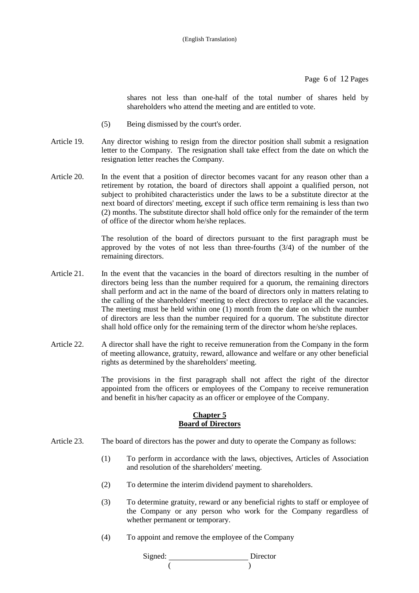Page 6 of 12 Pages

shares not less than one-half of the total number of shares held by shareholders who attend the meeting and are entitled to vote.

- (5) Being dismissed by the court's order.
- Article 19. Any director wishing to resign from the director position shall submit a resignation letter to the Company. The resignation shall take effect from the date on which the resignation letter reaches the Company.
- Article 20. In the event that a position of director becomes vacant for any reason other than a retirement by rotation, the board of directors shall appoint a qualified person, not subject to prohibited characteristics under the laws to be a substitute director at the next board of directors' meeting, except if such office term remaining is less than two (2) months. The substitute director shall hold office only for the remainder of the term of office of the director whom he/she replaces.

The resolution of the board of directors pursuant to the first paragraph must be approved by the votes of not less than three-fourths (3/4) of the number of the remaining directors.

- Article 21. In the event that the vacancies in the board of directors resulting in the number of directors being less than the number required for a quorum, the remaining directors shall perform and act in the name of the board of directors only in matters relating to the calling of the shareholders' meeting to elect directors to replace all the vacancies. The meeting must be held within one (1) month from the date on which the number of directors are less than the number required for a quorum. The substitute director shall hold office only for the remaining term of the director whom he/she replaces.
- Article 22. A director shall have the right to receive remuneration from the Company in the form of meeting allowance, gratuity, reward, allowance and welfare or any other beneficial rights as determined by the shareholders' meeting.

 The provisions in the first paragraph shall not affect the right of the director appointed from the officers or employees of the Company to receive remuneration and benefit in his/her capacity as an officer or employee of the Company.

#### **Chapter 5 Board of Directors**

- Article 23. The board of directors has the power and duty to operate the Company as follows:
	- (1) To perform in accordance with the laws, objectives, Articles of Association and resolution of the shareholders' meeting.
	- (2) To determine the interim dividend payment to shareholders.
	- (3) To determine gratuity, reward or any beneficial rights to staff or employee of the Company or any person who work for the Company regardless of whether permanent or temporary.
	- (4) To appoint and remove the employee of the Company

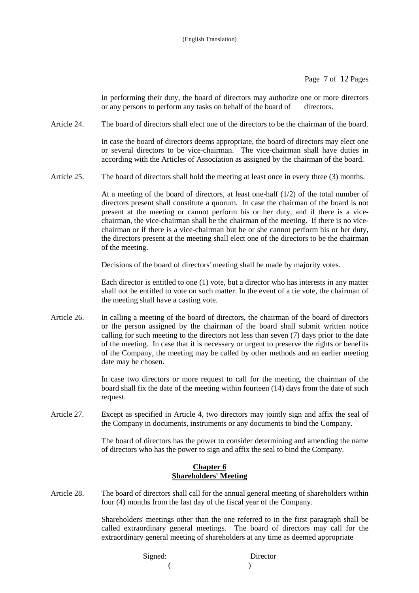Page 7 of 12 Pages

In performing their duty, the board of directors may authorize one or more directors or any persons to perform any tasks on behalf of the board of directors.

Article 24. The board of directors shall elect one of the directors to be the chairman of the board.

In case the board of directors deems appropriate, the board of directors may elect one or several directors to be vice-chairman. The vice-chairman shall have duties in according with the Articles of Association as assigned by the chairman of the board.

Article 25. The board of directors shall hold the meeting at least once in every three (3) months.

At a meeting of the board of directors, at least one-half  $(1/2)$  of the total number of directors present shall constitute a quorum. In case the chairman of the board is not present at the meeting or cannot perform his or her duty, and if there is a vicechairman, the vice-chairman shall be the chairman of the meeting. If there is no vicechairman or if there is a vice-chairman but he or she cannot perform his or her duty, the directors present at the meeting shall elect one of the directors to be the chairman of the meeting.

Decisions of the board of directors' meeting shall be made by majority votes.

Each director is entitled to one (1) vote, but a director who has interests in any matter shall not be entitled to vote on such matter. In the event of a tie vote, the chairman of the meeting shall have a casting vote.

Article 26. In calling a meeting of the board of directors, the chairman of the board of directors or the person assigned by the chairman of the board shall submit written notice calling for such meeting to the directors not less than seven (7) days prior to the date of the meeting. In case that it is necessary or urgent to preserve the rights or benefits of the Company, the meeting may be called by other methods and an earlier meeting date may be chosen.

> In case two directors or more request to call for the meeting, the chairman of the board shall fix the date of the meeting within fourteen (14) days from the date of such request.

Article 27. Except as specified in Article 4, two directors may jointly sign and affix the seal of the Company in documents, instruments or any documents to bind the Company.

> The board of directors has the power to consider determining and amending the name of directors who has the power to sign and affix the seal to bind the Company.

#### **Chapter 6 Shareholders' Meeting**

Article 28. The board of directors shall call for the annual general meeting of shareholders within four (4) months from the last day of the fiscal year of the Company.

> Shareholders' meetings other than the one referred to in the first paragraph shall be called extraordinary general meetings. The board of directors may call for the extraordinary general meeting of shareholders at any time as deemed appropriate

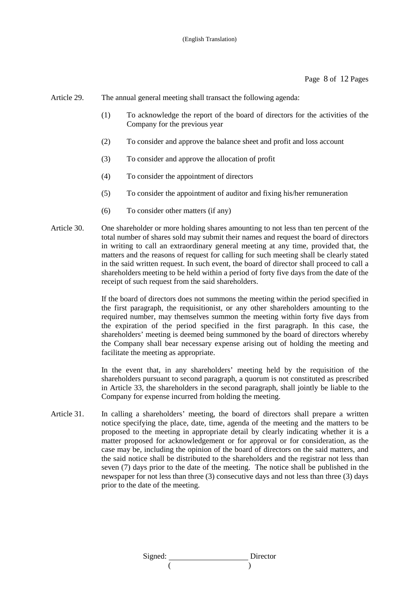Article 29. The annual general meeting shall transact the following agenda:

- (1) To acknowledge the report of the board of directors for the activities of the Company for the previous year
- (2) To consider and approve the balance sheet and profit and loss account
- (3) To consider and approve the allocation of profit
- (4) To consider the appointment of directors
- (5) To consider the appointment of auditor and fixing his/her remuneration
- (6) To consider other matters (if any)
- Article 30. One shareholder or more holding shares amounting to not less than ten percent of the total number of shares sold may submit their names and request the board of directors in writing to call an extraordinary general meeting at any time, provided that, the matters and the reasons of request for calling for such meeting shall be clearly stated in the said written request. In such event, the board of director shall proceed to call a shareholders meeting to be held within a period of forty five days from the date of the receipt of such request from the said shareholders.

If the board of directors does not summons the meeting within the period specified in the first paragraph, the requisitionist, or any other shareholders amounting to the required number, may themselves summon the meeting within forty five days from the expiration of the period specified in the first paragraph. In this case, the shareholders' meeting is deemed being summoned by the board of directors whereby the Company shall bear necessary expense arising out of holding the meeting and facilitate the meeting as appropriate.

In the event that, in any shareholders' meeting held by the requisition of the shareholders pursuant to second paragraph, a quorum is not constituted as prescribed in Article 33, the shareholders in the second paragraph, shall jointly be liable to the Company for expense incurred from holding the meeting.

Article 31. In calling a shareholders' meeting, the board of directors shall prepare a written notice specifying the place, date, time, agenda of the meeting and the matters to be proposed to the meeting in appropriate detail by clearly indicating whether it is a matter proposed for acknowledgement or for approval or for consideration, as the case may be, including the opinion of the board of directors on the said matters, and the said notice shall be distributed to the shareholders and the registrar not less than seven (7) days prior to the date of the meeting. The notice shall be published in the newspaper for not less than three (3) consecutive days and not less than three (3) days prior to the date of the meeting.

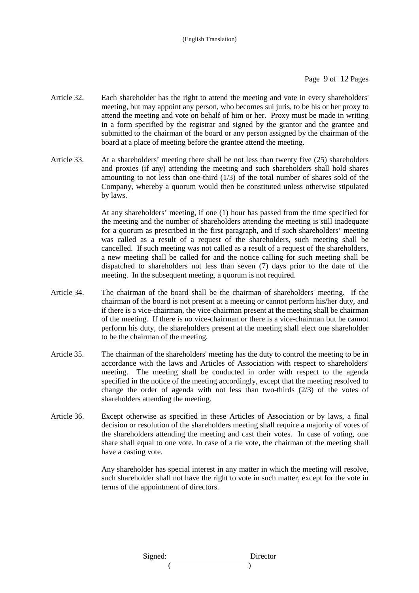- Article 32. Each shareholder has the right to attend the meeting and vote in every shareholders' meeting, but may appoint any person, who becomes sui juris, to be his or her proxy to attend the meeting and vote on behalf of him or her. Proxy must be made in writing in a form specified by the registrar and signed by the grantor and the grantee and submitted to the chairman of the board or any person assigned by the chairman of the board at a place of meeting before the grantee attend the meeting.
- Article 33. At a shareholders' meeting there shall be not less than twenty five (25) shareholders and proxies (if any) attending the meeting and such shareholders shall hold shares amounting to not less than one-third (1/3) of the total number of shares sold of the Company, whereby a quorum would then be constituted unless otherwise stipulated by laws.

At any shareholders' meeting, if one (1) hour has passed from the time specified for the meeting and the number of shareholders attending the meeting is still inadequate for a quorum as prescribed in the first paragraph, and if such shareholders' meeting was called as a result of a request of the shareholders, such meeting shall be cancelled. If such meeting was not called as a result of a request of the shareholders, a new meeting shall be called for and the notice calling for such meeting shall be dispatched to shareholders not less than seven (7) days prior to the date of the meeting. In the subsequent meeting, a quorum is not required.

- Article 34. The chairman of the board shall be the chairman of shareholders' meeting. If the chairman of the board is not present at a meeting or cannot perform his/her duty, and if there is a vice-chairman, the vice-chairman present at the meeting shall be chairman of the meeting. If there is no vice-chairman or there is a vice-chairman but he cannot perform his duty, the shareholders present at the meeting shall elect one shareholder to be the chairman of the meeting.
- Article 35. The chairman of the shareholders' meeting has the duty to control the meeting to be in accordance with the laws and Articles of Association with respect to shareholders' meeting. The meeting shall be conducted in order with respect to the agenda specified in the notice of the meeting accordingly, except that the meeting resolved to change the order of agenda with not less than two-thirds (2/3) of the votes of shareholders attending the meeting.
- Article 36. Except otherwise as specified in these Articles of Association or by laws, a final decision or resolution of the shareholders meeting shall require a majority of votes of the shareholders attending the meeting and cast their votes. In case of voting, one share shall equal to one vote. In case of a tie vote, the chairman of the meeting shall have a casting vote.

 Any shareholder has special interest in any matter in which the meeting will resolve, such shareholder shall not have the right to vote in such matter, except for the vote in terms of the appointment of directors.

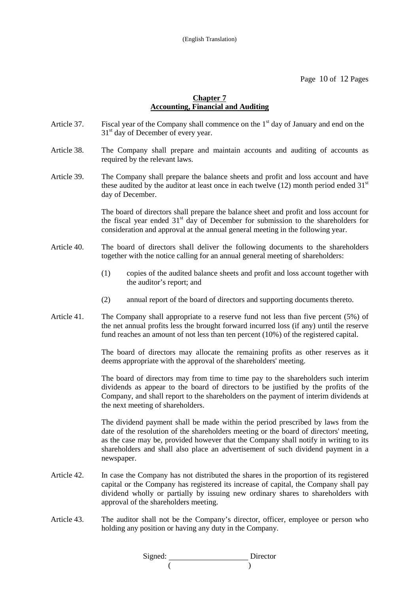Page 10 of 12 Pages

### **Chapter 7 Accounting, Financial and Auditing**

- Article 37. Fiscal year of the Company shall commence on the  $1<sup>st</sup>$  day of January and end on the  $31<sup>st</sup>$  day of December of every year.
- Article 38. The Company shall prepare and maintain accounts and auditing of accounts as required by the relevant laws.
- Article 39. The Company shall prepare the balance sheets and profit and loss account and have these audited by the auditor at least once in each twelve (12) month period ended  $31<sup>st</sup>$ day of December.

 The board of directors shall prepare the balance sheet and profit and loss account for the fiscal year ended  $31<sup>st</sup>$  day of December for submission to the shareholders for consideration and approval at the annual general meeting in the following year.

- Article 40. The board of directors shall deliver the following documents to the shareholders together with the notice calling for an annual general meeting of shareholders:
	- (1) copies of the audited balance sheets and profit and loss account together with the auditor's report; and
	- (2) annual report of the board of directors and supporting documents thereto.
- Article 41. The Company shall appropriate to a reserve fund not less than five percent (5%) of the net annual profits less the brought forward incurred loss (if any) until the reserve fund reaches an amount of not less than ten percent (10%) of the registered capital.

 The board of directors may allocate the remaining profits as other reserves as it deems appropriate with the approval of the shareholders' meeting.

The board of directors may from time to time pay to the shareholders such interim dividends as appear to the board of directors to be justified by the profits of the Company, and shall report to the shareholders on the payment of interim dividends at the next meeting of shareholders.

The dividend payment shall be made within the period prescribed by laws from the date of the resolution of the shareholders meeting or the board of directors' meeting, as the case may be, provided however that the Company shall notify in writing to its shareholders and shall also place an advertisement of such dividend payment in a newspaper.

- Article 42. In case the Company has not distributed the shares in the proportion of its registered capital or the Company has registered its increase of capital, the Company shall pay dividend wholly or partially by issuing new ordinary shares to shareholders with approval of the shareholders meeting.
- Article 43. The auditor shall not be the Company's director, officer, employee or person who holding any position or having any duty in the Company.